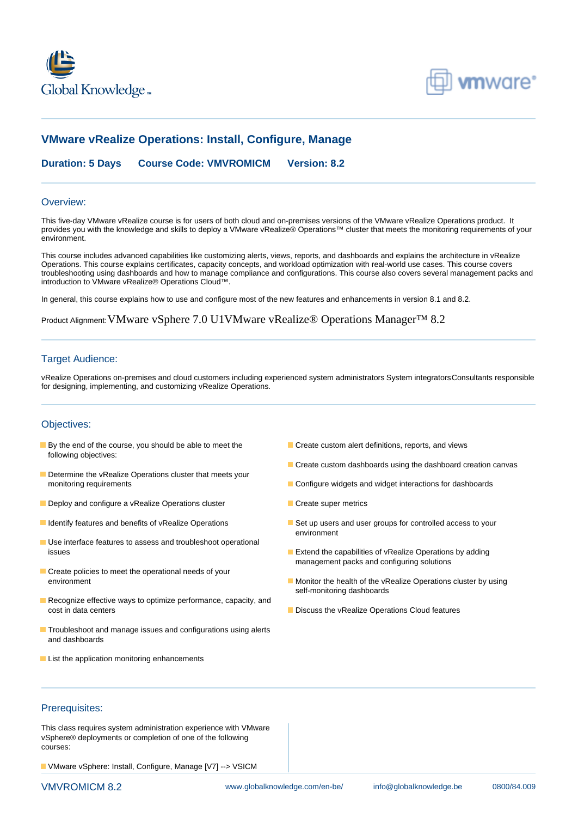



# **VMware vRealize Operations: Install, Configure, Manage**

**Duration: 5 Days Course Code: VMVROMICM Version: 8.2**

#### Overview:

This five-day VMware vRealize course is for users of both cloud and on-premises versions of the VMware vRealize Operations product. It provides you with the knowledge and skills to deploy a VMware vRealize® Operations™ cluster that meets the monitoring requirements of your environment.

This course includes advanced capabilities like customizing alerts, views, reports, and dashboards and explains the architecture in vRealize Operations. This course explains certificates, capacity concepts, and workload optimization with real-world use cases. This course covers troubleshooting using dashboards and how to manage compliance and configurations. This course also covers several management packs and introduction to VMware vRealize® Operations Cloud™.

In general, this course explains how to use and configure most of the new features and enhancements in version 8.1 and 8.2.

Product Alignment:VMware vSphere 7.0 U1VMware vRealize® Operations Manager™ 8.2

#### **Target Audience:**

vRealize Operations on-premises and cloud customers including experienced system administrators System integratorsConsultants responsible for designing, implementing, and customizing vRealize Operations.

#### Objectives:

- **By the end of the course, you should be able to meet the Create custom alert definitions, reports, and views** following objectives:
- Determine the vRealize Operations cluster that meets your monitoring requirements Configure widgets and widget interactions for dashboards
- Deploy and configure a vRealize Operations cluster **CREAT ACCESS** Create super metrics
- 
- Use interface features to assess and troubleshoot operational issues Extend the capabilities of vRealize Operations by adding
- Create policies to meet the operational needs of your
- Recognize effective ways to optimize performance, capacity, and cost in data centers **Discuss the vRealize Operations Cloud features** Discuss the vRealize Operations Cloud features
- **Troubleshoot and manage issues and configurations using alerts** and dashboards
- **List the application monitoring enhancements**
- 
- Create custom dashboards using the dashboard creation canvas
- 
- 
- I Identify features and benefits of vRealize Operations Set up users and user groups for controlled access to your environment
	- management packs and configuring solutions
	- environment **Monitor the health of the vRealize Operations cluster by using** Monitor the health of the vRealize Operations cluster by using self-monitoring dashboards
		-

### Prerequisites:

This class requires system administration experience with VMware vSphere® deployments or completion of one of the following courses:

VMware vSphere: Install, Configure, Manage [V7] --> VSICM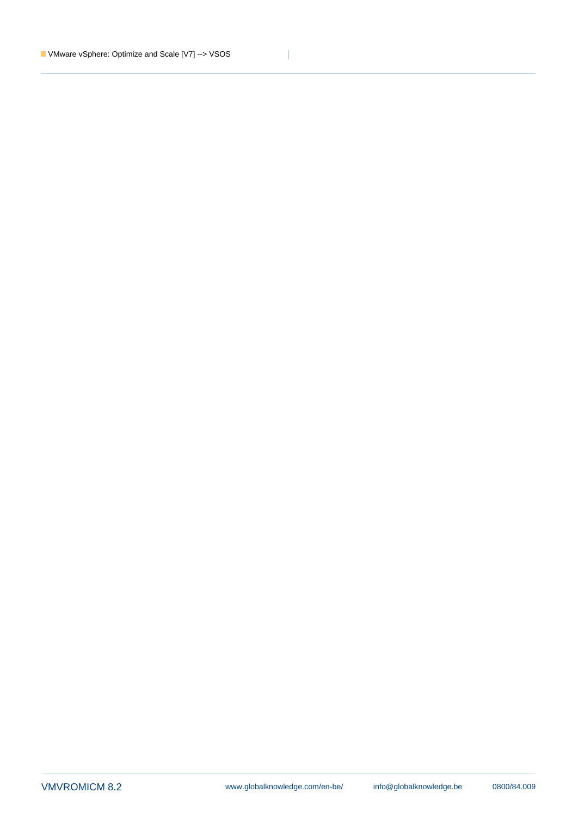Ī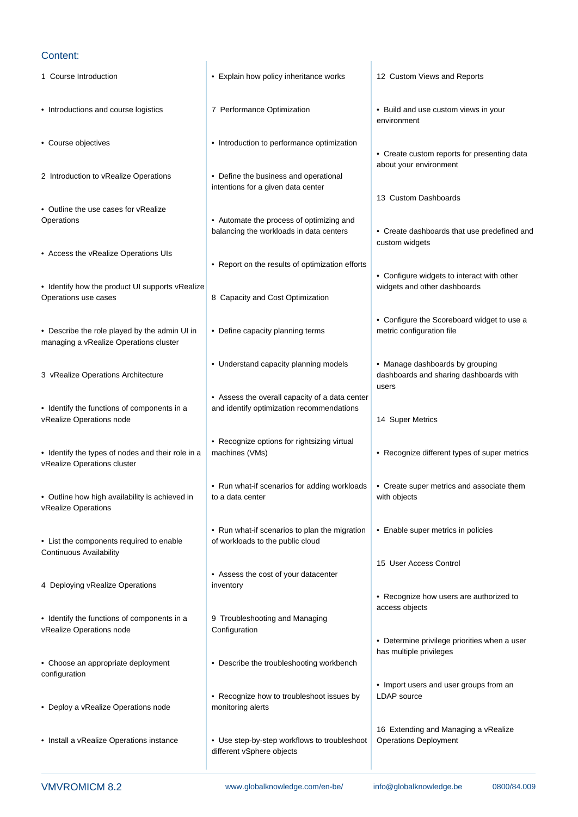## Content:

| • Explain how policy inheritance works                                                      | 12 Custom Views and Reports                                                        |
|---------------------------------------------------------------------------------------------|------------------------------------------------------------------------------------|
| 7 Performance Optimization                                                                  | • Build and use custom views in your<br>environment                                |
| • Introduction to performance optimization                                                  | • Create custom reports for presenting data                                        |
| • Define the business and operational<br>intentions for a given data center                 | about your environment                                                             |
|                                                                                             | 13 Custom Dashboards                                                               |
| • Automate the process of optimizing and<br>balancing the workloads in data centers         | • Create dashboards that use predefined and<br>custom widgets                      |
| • Report on the results of optimization efforts                                             | • Configure widgets to interact with other                                         |
| 8 Capacity and Cost Optimization                                                            | widgets and other dashboards                                                       |
| • Define capacity planning terms                                                            | • Configure the Scoreboard widget to use a<br>metric configuration file            |
| • Understand capacity planning models                                                       | • Manage dashboards by grouping<br>dashboards and sharing dashboards with<br>users |
| • Assess the overall capacity of a data center<br>and identify optimization recommendations | 14 Super Metrics                                                                   |
| • Recognize options for rightsizing virtual<br>machines (VMs)                               | • Recognize different types of super metrics                                       |
| • Run what-if scenarios for adding workloads<br>to a data center                            | • Create super metrics and associate them<br>with objects                          |
| • Run what-if scenarios to plan the migration<br>of workloads to the public cloud           | • Enable super metrics in policies                                                 |
|                                                                                             | 15 User Access Control                                                             |
| • Assess the cost of your datacenter<br>inventory                                           | • Recognize how users are authorized to                                            |
| 9 Troubleshooting and Managing<br>Configuration                                             | access objects                                                                     |
| • Describe the troubleshooting workbench                                                    | • Determine privilege priorities when a user<br>has multiple privileges            |
| • Recognize how to troubleshoot issues by<br>monitoring alerts                              | • Import users and user groups from an<br><b>LDAP</b> source                       |
| • Use step-by-step workflows to troubleshoot<br>different vSphere objects                   | 16 Extending and Managing a vRealize<br><b>Operations Deployment</b>               |
|                                                                                             | • Identify how the product UI supports vRealize                                    |